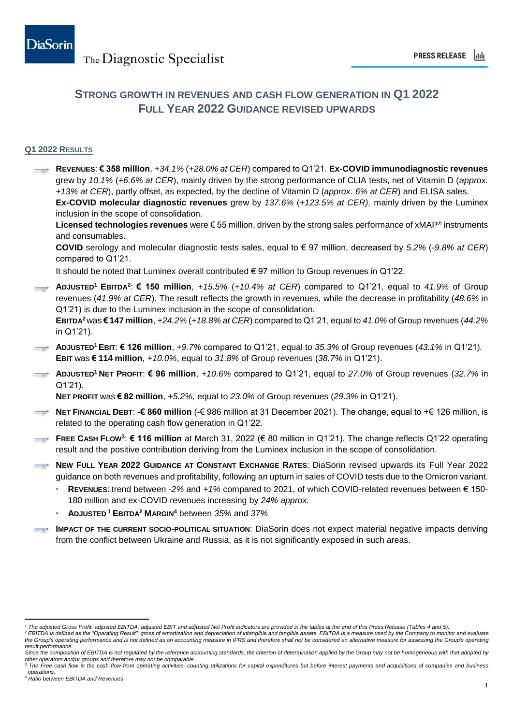## **STRONG GROWTH IN REVENUES AND CASH FLOW GENERATION IN Q1 2022 FULL YEAR 2022 GUIDANCE REVISED UPWARDS**

### **Q1 2022 RESULTS**

**REVENUES**: **€ 358 million**, *+34.1%* (*+28.0% at CER*) compared to Q1'21*.* **Ex-COVID immunodiagnostic revenues** grew by *10.1%* (*+6.6% at CER*), mainly driven by the strong performance of CLIA tests, net of Vitamin D (*approx. +13% at CER*), partly offset, as expected, by the decline of Vitamin D (*approx. 6% at CER*) and ELISA sales. **Ex-COVID molecular diagnostic revenues** grew by *137.6%* (*+123.5% at CER),* mainly driven by the Luminex inclusion in the scope of consolidation. **Licensed technologies revenues** were € 55 million, driven by the strong sales performance of xMAP® instruments and consumables. **COVID** serology and molecular diagnostic tests sales, equal to € 97 million, decreased by *5.2%* (*-9.8% at CER*) compared to Q1'21. It should be noted that Luminex overall contributed € 97 million to Group revenues in Q1'22. **ADJUSTED<sup>1</sup> EBITDA<sup>2</sup>** : **€ 150 million**, *+15.5%* (*+10.4% at CER*) compared to Q1'21*,* equal to *41.9%* of Group revenues (*41.9% at CER*)*.* The result reflects the growth in revenues, while the decrease in profitability (*48.6%* in Q1'21) is due to the Luminex inclusion in the scope of consolidation. **EBITDA<sup>2</sup>**was **€ 147 million**, *+24.2%* (*+18.8% at CER*) compared to Q1'21, equal to *41.0%* of Group revenues (*44.2%* in Q1'21). **ADJUSTED<sup>1</sup>EBIT**: **€ 126 million**, *+9.7%* compared to Q1'21, equal to *35.3%* of Group revenues (*43.1%* in Q1'21)*.* **EBIT** was **€ 114 million**, *+10.0%*, equal to *31.8%* of Group revenues (*38.7%* in Q1'21). **ADJUSTED<sup>1</sup> NET PROFIT**: **€ 96 million**, *+10.6%* compared to Q1'21, equal to *27.0%* of Group revenues (*32.7%* in Q1'21)*.* **NET PROFIT** was **€ 82 million**, *+5.2%,* equal to *23.0%* of Group revenues (*29.3%* in Q1'21). **NET FINANCIAL DEBT**: **-€ 860 million** (-€ 986 million at 31 December 2021). The change, equal to +€ 126 million, is related to the operating cash flow generation in Q1'22. **FREE CASH FLOW<sup>3</sup>** : **€ 116 million** at March 31, 2022 (€ 80 million in Q1'21). The change reflects Q1'22 operating result and the positive contribution deriving from the Luminex inclusion in the scope of consolidation. **NEW FULL YEAR 2022 GUIDANCE AT CONSTANT EXCHANGE RATES**: DiaSorin revised upwards its Full Year 2022 guidance on both revenues and profitability, following an upturn in sales of COVID tests due to the Omicron variant. **REVENUES**: trend between *-2%* and *+1%* compared to 2021, of which COVID-related revenues between € 150- 180 million and ex-COVID revenues increasing by *24% approx.* **ADJUSTED <sup>1</sup> EBITDA<sup>2</sup> MARGIN<sup>4</sup>** between *35%* and *37%* **IMPACT OF THE CURRENT SOCIO-POLITICAL SITUATION**: DiaSorin does not expect material negative impacts deriving from the conflict between Ukraine and Russia, as it is not significantly exposed in such areas.

 *<sup>1</sup> The adjusted Gross Profit, adjusted EBITDA, adjusted EBIT and adjusted Net Profit indicators are provided in the tables at the end of this Press Release (Tables 4 and 5).*

<sup>&</sup>lt;sup>2</sup> EBITDA is defined as the "Operating Result", gross of amortization and depreciation of intangible and tangible assets. EBITDA is a measure used by the Company to monitor and evaluate the Group's operating performance and is not defined as an accounting measure in IFRS and therefore shall not be considered an alternative measure for assessing the Group's operating *result performance.* 

Since the composition of EBITDA is not regulated by the reference accounting standards, the criterion of determination applied by the Group may not be homogeneous with that adopted by *other operators and/or groups and therefore may not be comparable.*

The Free cash flow is the cash flow from operating activities, counting utilizations for capital expenditures but before interest payments and acquisitions of companies and business *operations.*

*<sup>4</sup> Ratio between EBITDA and Revenues*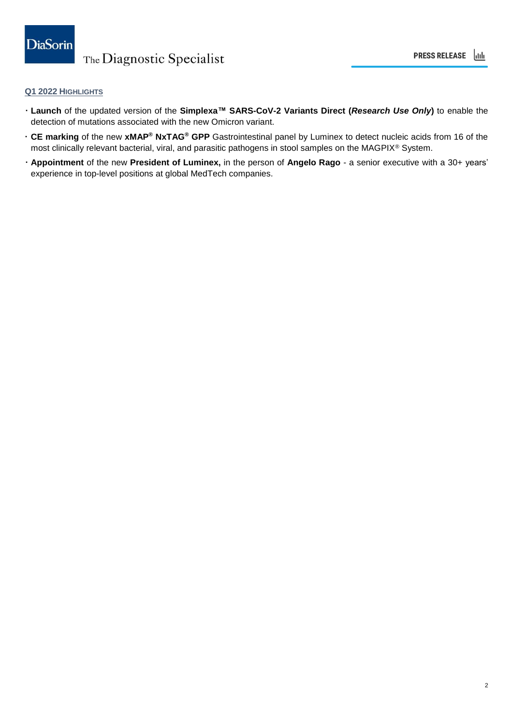### **Q1 2022 HIGHLIGHTS**

- **Launch** of the updated version of the **Simplexa™ SARS-CoV-2 Variants Direct (***Research Use Only***)** to enable the detection of mutations associated with the new Omicron variant.
- **CE marking** of the new **xMAP® NxTAG® GPP** Gastrointestinal panel by Luminex to detect nucleic acids from 16 of the most clinically relevant bacterial, viral, and parasitic pathogens in stool samples on the MAGPIX® System.
- **Appointment** of the new **President of Luminex,** in the person of **Angelo Rago** a senior executive with a 30+ years' experience in top-level positions at global MedTech companies.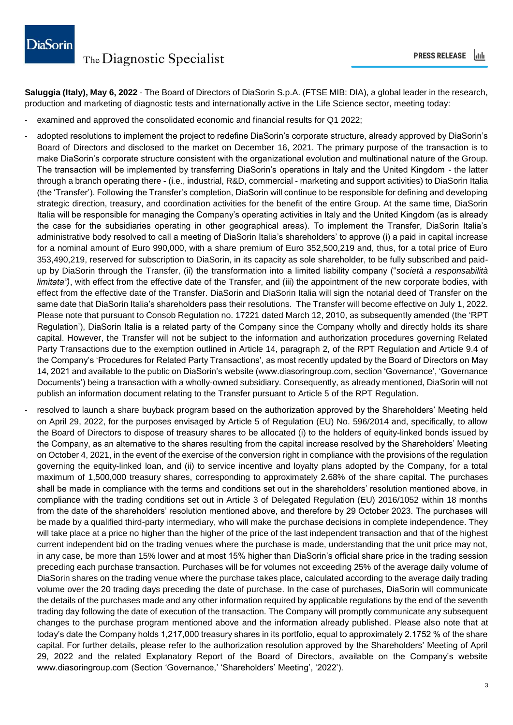**Saluggia (Italy), May 6, 2022** - The Board of Directors of DiaSorin S.p.A. (FTSE MIB: DIA), a global leader in the research, production and marketing of diagnostic tests and internationally active in the Life Science sector, meeting today:

- examined and approved the consolidated economic and financial results for Q1 2022;
- adopted resolutions to implement the project to redefine DiaSorin's corporate structure, already approved by DiaSorin's Board of Directors and disclosed to the market on December 16, 2021. The primary purpose of the transaction is to make DiaSorin's corporate structure consistent with the organizational evolution and multinational nature of the Group. The transaction will be implemented by transferring DiaSorin's operations in Italy and the United Kingdom - the latter through a branch operating there - (i.e., industrial, R&D, commercial - marketing and support activities) to DiaSorin Italia (the 'Transfer'). Following the Transfer's completion, DiaSorin will continue to be responsible for defining and developing strategic direction, treasury, and coordination activities for the benefit of the entire Group. At the same time, DiaSorin Italia will be responsible for managing the Company's operating activities in Italy and the United Kingdom (as is already the case for the subsidiaries operating in other geographical areas). To implement the Transfer, DiaSorin Italia's administrative body resolved to call a meeting of DiaSorin Italia's shareholders' to approve (i) a paid in capital increase for a nominal amount of Euro 990,000, with a share premium of Euro 352,500,219 and, thus, for a total price of Euro 353,490,219, reserved for subscription to DiaSorin, in its capacity as sole shareholder, to be fully subscribed and paidup by DiaSorin through the Transfer, (ii) the transformation into a limited liability company ("*società a responsabilità limitata")*, with effect from the effective date of the Transfer, and (iii) the appointment of the new corporate bodies, with effect from the effective date of the Transfer. DiaSorin and DiaSorin Italia will sign the notarial deed of Transfer on the same date that DiaSorin Italia's shareholders pass their resolutions. The Transfer will become effective on July 1, 2022. Please note that pursuant to Consob Regulation no. 17221 dated March 12, 2010, as subsequently amended (the 'RPT Regulation'), DiaSorin Italia is a related party of the Company since the Company wholly and directly holds its share capital. However, the Transfer will not be subject to the information and authorization procedures governing Related Party Transactions due to the exemption outlined in Article 14, paragraph 2, of the RPT Regulation and Article 9.4 of the Company's 'Procedures for Related Party Transactions', as most recently updated by the Board of Directors on May 14, 2021 and available to the public on DiaSorin's website (www.diasoringroup.com, section 'Governance', 'Governance Documents') being a transaction with a wholly-owned subsidiary. Consequently, as already mentioned, DiaSorin will not publish an information document relating to the Transfer pursuant to Article 5 of the RPT Regulation.
- resolved to launch a share buyback program based on the authorization approved by the Shareholders' Meeting held on April 29, 2022, for the purposes envisaged by Article 5 of Regulation (EU) No. 596/2014 and, specifically, to allow the Board of Directors to dispose of treasury shares to be allocated (i) to the holders of equity-linked bonds issued by the Company, as an alternative to the shares resulting from the capital increase resolved by the Shareholders' Meeting on October 4, 2021, in the event of the exercise of the conversion right in compliance with the provisions of the regulation governing the equity-linked loan, and (ii) to service incentive and loyalty plans adopted by the Company, for a total maximum of 1,500,000 treasury shares, corresponding to approximately 2.68% of the share capital. The purchases shall be made in compliance with the terms and conditions set out in the shareholders' resolution mentioned above, in compliance with the trading conditions set out in Article 3 of Delegated Regulation (EU) 2016/1052 within 18 months from the date of the shareholders' resolution mentioned above, and therefore by 29 October 2023. The purchases will be made by a qualified third-party intermediary, who will make the purchase decisions in complete independence. They will take place at a price no higher than the higher of the price of the last independent transaction and that of the highest current independent bid on the trading venues where the purchase is made, understanding that the unit price may not, in any case, be more than 15% lower and at most 15% higher than DiaSorin's official share price in the trading session preceding each purchase transaction. Purchases will be for volumes not exceeding 25% of the average daily volume of DiaSorin shares on the trading venue where the purchase takes place, calculated according to the average daily trading volume over the 20 trading days preceding the date of purchase. In the case of purchases, DiaSorin will communicate the details of the purchases made and any other information required by applicable regulations by the end of the seventh trading day following the date of execution of the transaction. The Company will promptly communicate any subsequent changes to the purchase program mentioned above and the information already published. Please also note that at today's date the Company holds 1,217,000 treasury shares in its portfolio, equal to approximately 2.1752 % of the share capital. For further details, please refer to the authorization resolution approved by the Shareholders' Meeting of April 29, 2022 and the related Explanatory Report of the Board of Directors, available on the Company's website www.diasoringroup.com (Section 'Governance,' 'Shareholders' Meeting', '2022').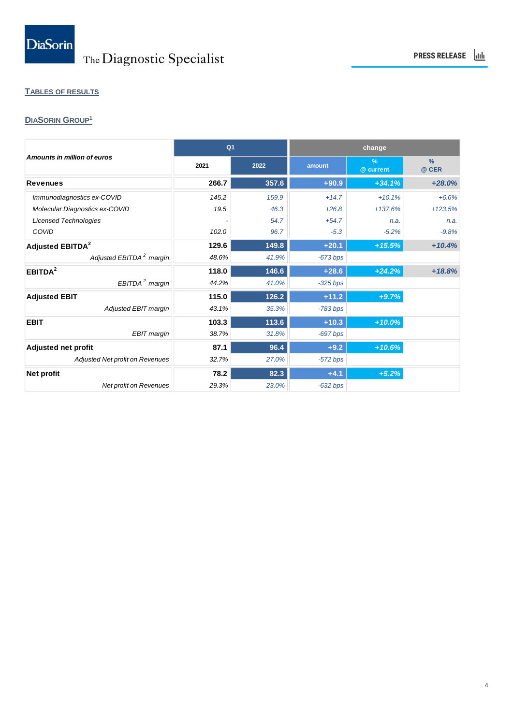# **TABLES OF RESULTS**

## **DIASORIN GROUP<sup>1</sup>**

|                                     | Q <sub>1</sub> |       |            | change                     |                        |  |
|-------------------------------------|----------------|-------|------------|----------------------------|------------------------|--|
| Amounts in million of euros         | 2021           | 2022  | amount     | $\frac{9}{6}$<br>@ current | $\frac{9}{6}$<br>@ CER |  |
| <b>Revenues</b>                     | 266.7          | 357.6 | $+90.9$    | $+34.1%$                   | $+28.0%$               |  |
| Immunodiagnostics ex-COVID          | 145.2          | 159.9 | $+14.7$    | $+10.1%$                   | $+6.6%$                |  |
| Molecular Diagnostics ex-COVID      | 19.5           | 46.3  | $+26.8$    | $+137.6%$                  | $+123.5%$              |  |
| <b>Licensed Technologies</b>        |                | 54.7  | $+54.7$    | n.a.                       | n.a.                   |  |
| COVID                               | 102.0          | 96.7  | $-5.3$     | $-5.2%$                    | $-9.8%$                |  |
| Adjusted EBITDA <sup>2</sup>        | 129.6          | 149.8 | $+20.1$    | $+15.5%$                   | $+10.4%$               |  |
| Adjusted EBITDA <sup>2</sup> margin | 48.6%          | 41.9% | $-673$ bps |                            |                        |  |
| EBITDA <sup>2</sup>                 | 118.0          | 146.6 | $+28.6$    | $+24.2%$                   | $+18.8%$               |  |
| EBITDA <sup>2</sup> margin          | 44.2%          | 41.0% | $-325$ bps |                            |                        |  |
| <b>Adjusted EBIT</b>                | 115.0          | 126.2 | $+11.2$    | $+9.7%$                    |                        |  |
| <b>Adjusted EBIT margin</b>         | 43.1%          | 35.3% | $-783$ bps |                            |                        |  |
| <b>EBIT</b>                         | 103.3          | 113.6 | $+10.3$    | $+10.0%$                   |                        |  |
| <b>EBIT</b> margin                  | 38.7%          | 31.8% | $-697$ bps |                            |                        |  |
| <b>Adjusted net profit</b>          | 87.1           | 96.4  | $+9.2$     | $+10.6%$                   |                        |  |
| Adjusted Net profit on Revenues     | 32.7%          | 27.0% | $-572$ bps |                            |                        |  |
| <b>Net profit</b>                   | 78.2           | 82.3  | $+4.1$     | $+5.2%$                    |                        |  |
| <b>Net profit on Revenues</b>       | 29.3%          | 23.0% | $-632$ bps |                            |                        |  |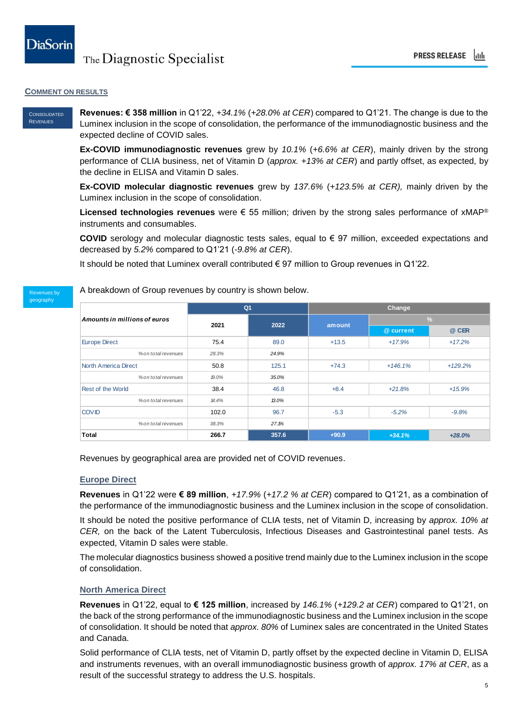### **COMMENT ON RESULTS**

#### CONSOLIDATED **REVENUES**

**Revenues: € 358 million** in Q1'22, *+34.1%* (*+28.0% at CER*) compared to Q1'21. The change is due to the Luminex inclusion in the scope of consolidation, the performance of the immunodiagnostic business and the expected decline of COVID sales.

**Ex-COVID immunodiagnostic revenues** grew by *10.1%* (*+6.6% at CER*), mainly driven by the strong performance of CLIA business, net of Vitamin D (*approx. +13% at CER*) and partly offset, as expected, by the decline in ELISA and Vitamin D sales.

**Ex-COVID molecular diagnostic revenues** grew by *137.6%* (*+123.5% at CER),* mainly driven by the Luminex inclusion in the scope of consolidation.

**Licensed technologies revenues** were € 55 million; driven by the strong sales performance of xMAP® instruments and consumables.

**COVID** serology and molecular diagnostic tests sales, equal to € 97 million, exceeded expectations and decreased by *5.2%* compared to Q1'21 (*-9.8% at CER*).

It should be noted that Luminex overall contributed € 97 million to Group revenues in Q1'22.

#### Revenues by geography

A breakdown of Group revenues by country is shown below.

| Amounts in millions of euros |       | Q <sub>1</sub> |         | Change                                                                |               |  |
|------------------------------|-------|----------------|---------|-----------------------------------------------------------------------|---------------|--|
|                              |       |                |         |                                                                       | $\frac{9}{6}$ |  |
|                              | 2021  | 2022           | amount  | @ current<br>$+17.9%$<br>$+146.1%$<br>$+21.8%$<br>$-5.2%$<br>$+34.1%$ | @ CER         |  |
| <b>Europe Direct</b>         | 75.4  | 89.0           | $+13.5$ |                                                                       | $+17.2%$      |  |
| % on total revenues          | 28.3% | 24.9%          |         |                                                                       |               |  |
| <b>North America Direct</b>  | 50.8  | 125.1          | $+74.3$ |                                                                       | $+129.2%$     |  |
| % on total revenues          | 19.0% | 35.0%          |         |                                                                       |               |  |
| Rest of the World            | 38.4  | 46.8           | $+8.4$  |                                                                       | $+15.9%$      |  |
| % on total revenues          | 14.4% | 13.0%          |         |                                                                       |               |  |
| <b>COVID</b>                 | 102.0 | 96.7           | $-5.3$  |                                                                       | $-9.8%$       |  |
| % on total revenues          | 38.3% | 27.1%          |         |                                                                       |               |  |
| <b>Total</b>                 | 266.7 | 357.6          | $+90.9$ |                                                                       | $+28.0%$      |  |

Revenues by geographical area are provided net of COVID revenues.

### **Europe Direct**

**Revenues** in Q1'22 were **€ 89 million**, *+17.9%* (*+17.2 % at CER*) compared to Q1'21, as a combination of the performance of the immunodiagnostic business and the Luminex inclusion in the scope of consolidation.

It should be noted the positive performance of CLIA tests, net of Vitamin D, increasing by *approx. 10% at CER,* on the back of the Latent Tuberculosis, Infectious Diseases and Gastrointestinal panel tests. As expected, Vitamin D sales were stable.

The molecular diagnostics business showed a positive trend mainly due to the Luminex inclusion in the scope of consolidation.

### **North America Direct**

**Revenues** in Q1'22, equal to **€ 125 million**, increased by *146.1%* (*+129.2 at CER*) compared to Q1'21, on the back of the strong performance of the immunodiagnostic business and the Luminex inclusion in the scope of consolidation. It should be noted that *approx. 80%* of Luminex sales are concentrated in the United States and Canada.

Solid performance of CLIA tests, net of Vitamin D, partly offset by the expected decline in Vitamin D, ELISA and instruments revenues, with an overall immunodiagnostic business growth of *approx. 17% at CER*, as a result of the successful strategy to address the U.S. hospitals.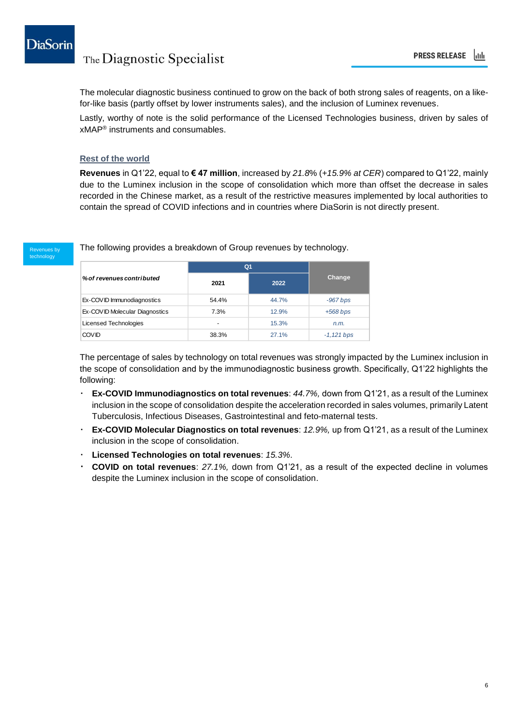

The molecular diagnostic business continued to grow on the back of both strong sales of reagents, on a likefor-like basis (partly offset by lower instruments sales), and the inclusion of Luminex revenues.

Lastly, worthy of note is the solid performance of the Licensed Technologies business, driven by sales of xMAP® instruments and consumables.

### **Rest of the world**

**Revenues** in Q1'22, equal to **€ 47 million**, increased by *21.8*% (*+15.9% at CER*) compared to Q1'22, mainly due to the Luminex inclusion in the scope of consolidation which more than offset the decrease in sales recorded in the Chinese market, as a result of the restrictive measures implemented by local authorities to contain the spread of COVID infections and in countries where DiaSorin is not directly present.

enues by technology

The following provides a breakdown of Group revenues by technology.

|                                | Q <sub>1</sub> |       |              |
|--------------------------------|----------------|-------|--------------|
| % of revenues contributed      | 2021           | 2022  | Change       |
| Ex-COVID Immunodiagnostics     | 54.4%          | 44.7% | $-967$ bps   |
| Ex-COVID Molecular Diagnostics | 7.3%           | 12.9% | $+568$ bps   |
| Licensed Technologies          | -              | 15.3% | n.m.         |
| <b>COVID</b>                   | 38.3%          | 27.1% | $-1,121$ bps |

The percentage of sales by technology on total revenues was strongly impacted by the Luminex inclusion in the scope of consolidation and by the immunodiagnostic business growth. Specifically, Q1'22 highlights the following:

- **Ex-COVID Immunodiagnostics on total revenues**: *44.7%,* down from Q1'21, as a result of the Luminex inclusion in the scope of consolidation despite the acceleration recorded in sales volumes, primarily Latent Tuberculosis, Infectious Diseases, Gastrointestinal and feto-maternal tests.
- **Ex-COVID Molecular Diagnostics on total revenues**: *12.9%,* up from Q1'21, as a result of the Luminex inclusion in the scope of consolidation.
- **Licensed Technologies on total revenues**: *15.3%*.
- **COVID on total revenues**: *27.1%,* down from Q1'21, as a result of the expected decline in volumes despite the Luminex inclusion in the scope of consolidation.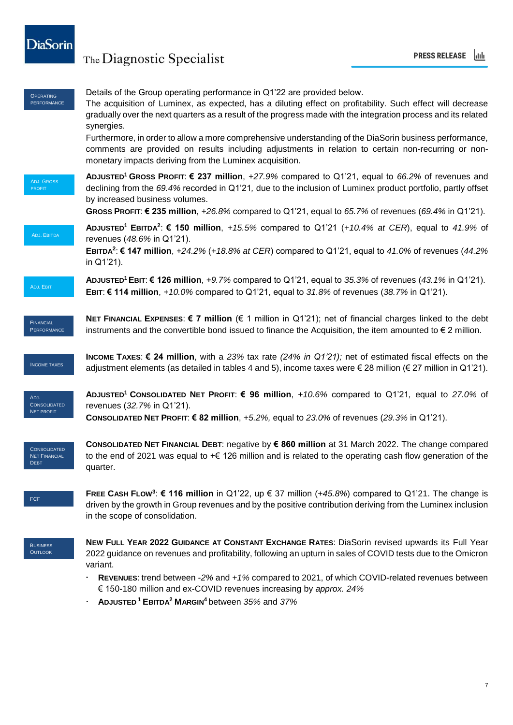

| <b>OPERATING</b><br><b>PERFORMANCE</b>                     | Details of the Group operating performance in Q1'22 are provided below.<br>The acquisition of Luminex, as expected, has a diluting effect on profitability. Such effect will decrease<br>gradually over the next quarters as a result of the progress made with the integration process and its related<br>synergies.<br>Furthermore, in order to allow a more comprehensive understanding of the DiaSorin business performance,<br>comments are provided on results including adjustments in relation to certain non-recurring or non-<br>monetary impacts deriving from the Luminex acquisition. |
|------------------------------------------------------------|----------------------------------------------------------------------------------------------------------------------------------------------------------------------------------------------------------------------------------------------------------------------------------------------------------------------------------------------------------------------------------------------------------------------------------------------------------------------------------------------------------------------------------------------------------------------------------------------------|
| <b>ADJ. GROSS</b><br><b>PROFIT</b>                         | ADJUSTED <sup>1</sup> GROSS PROFIT: € 237 million, +27.9% compared to Q1'21, equal to 66.2% of revenues and<br>declining from the 69.4% recorded in Q1'21, due to the inclusion of Luminex product portfolio, partly offset<br>by increased business volumes.<br>GROSS PROFIT: € 235 million, +26.8% compared to Q1'21, equal to 65.7% of revenues (69.4% in Q1'21).                                                                                                                                                                                                                               |
| ADJ. EBITDA                                                | <b>ADJUSTED<sup>1</sup></b> EBITDA <sup>2</sup> : € 150 million, +15.5% compared to Q1'21 (+10.4% at CER), equal to 41.9% of<br>revenues (48.6% in Q1'21).<br><b>EBITDA<sup>2</sup>: € 147 million</b> , +24.2% (+18.8% at CER) compared to Q1'21, equal to 41.0% of revenues (44.2%<br>in Q1'21).                                                                                                                                                                                                                                                                                                 |
| ADJ. EBIT                                                  | ADJUSTED <sup>1</sup> EBIT: € 126 million, +9.7% compared to Q1'21, equal to 35.3% of revenues (43.1% in Q1'21).<br>EBIT: € 114 million, +10.0% compared to Q1'21, equal to 31.8% of revenues (38.7% in Q1'21).                                                                                                                                                                                                                                                                                                                                                                                    |
| <b>FINANCIAL</b><br>PERFORMANCE                            | <b>NET FINANCIAL EXPENSES: <math>\epsilon</math> 7 million</b> ( $\epsilon$ 1 million in Q1'21); net of financial charges linked to the debt<br>instruments and the convertible bond issued to finance the Acquisition, the item amounted to $\epsilon$ 2 million.                                                                                                                                                                                                                                                                                                                                 |
| <b>INCOME TAXES</b>                                        | <b>INCOME TAXES: € 24 million,</b> with a 23% tax rate (24% in Q1'21); net of estimated fiscal effects on the<br>adjustment elements (as detailed in tables 4 and 5), income taxes were € 28 million (€ 27 million in Q1'21).                                                                                                                                                                                                                                                                                                                                                                      |
| ADJ.<br><b>CONSOLIDATED</b><br><b>NET PROFIT</b>           | <b>ADJUSTED<sup>1</sup> CONSOLIDATED NET PROFIT: € 96 million</b> , +10.6% compared to Q1'21, equal to 27.0% of<br>revenues (32.7% in Q1'21).<br>CONSOLIDATED NET PROFIT: € 82 million, +5.2%, equal to 23.0% of revenues (29.3% in Q1'21).                                                                                                                                                                                                                                                                                                                                                        |
| <b>CONSOLIDATED</b><br><b>NET FINANCIAL</b><br><b>DEBT</b> | CONSOLIDATED NET FINANCIAL DEBT: negative by € 860 million at 31 March 2022. The change compared<br>to the end of 2021 was equal to $+\epsilon$ 126 million and is related to the operating cash flow generation of the<br>quarter.                                                                                                                                                                                                                                                                                                                                                                |
| FCF                                                        | FREE CASH FLOW <sup>3</sup> : € 116 million in Q1'22, up € 37 million (+45.8%) compared to Q1'21. The change is<br>driven by the growth in Group revenues and by the positive contribution deriving from the Luminex inclusion<br>in the scope of consolidation.                                                                                                                                                                                                                                                                                                                                   |
| <b>BUSINESS</b><br><b>OUTLOOK</b>                          | NEW FULL YEAR 2022 GUIDANCE AT CONSTANT EXCHANGE RATES: DiaSorin revised upwards its Full Year<br>2022 guidance on revenues and profitability, following an upturn in sales of COVID tests due to the Omicron<br>variant.<br>REVENUES: trend between -2% and +1% compared to 2021, of which COVID-related revenues between<br>€ 150-180 million and ex-COVID revenues increasing by approx. 24%                                                                                                                                                                                                    |

**ADJUSTED <sup>1</sup> EBITDA<sup>2</sup> MARGIN<sup>4</sup>** between *35%* and *37%*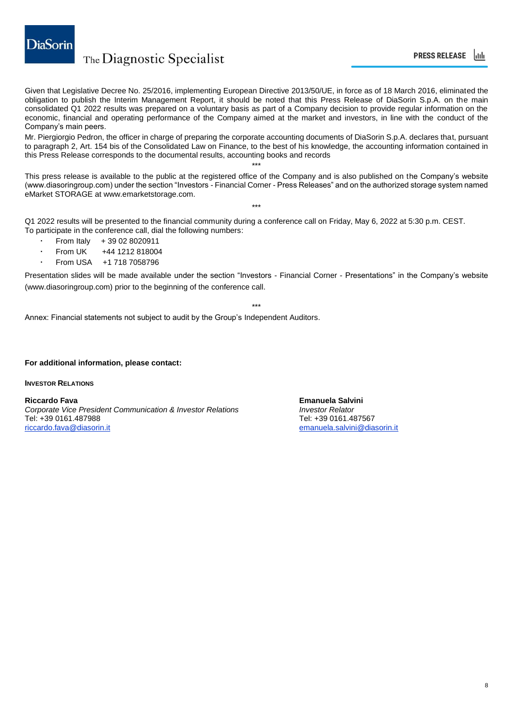

Given that Legislative Decree No. 25/2016, implementing European Directive 2013/50/UE, in force as of 18 March 2016, eliminated the obligation to publish the Interim Management Report, it should be noted that this Press Release of DiaSorin S.p.A. on the main consolidated Q1 2022 results was prepared on a voluntary basis as part of a Company decision to provide regular information on the economic, financial and operating performance of the Company aimed at the market and investors, in line with the conduct of the Company's main peers.

Mr. Piergiorgio Pedron, the officer in charge of preparing the corporate accounting documents of DiaSorin S.p.A. declares that, pursuant to paragraph 2, Art. 154 bis of the Consolidated Law on Finance, to the best of his knowledge, the accounting information contained in this Press Release corresponds to the documental results, accounting books and records

This press release is available to the public at the registered office of the Company and is also published on the Company's website (www.diasoringroup.com) under the section "Investors - Financial Corner - Press Releases" and on the authorized storage system named eMarket STORAGE at www.emarketstorage.com.

\*\*\*

\*\*\*

Q1 2022 results will be presented to the financial community during a conference call on Friday, May 6, 2022 at 5:30 p.m. CEST. To participate in the conference call, dial the following numbers:

- From Italy + 39 02 8020911
- From UK +44 1212 818004
- From USA +1 718 7058796

Presentation slides will be made available under the section "Investors - Financial Corner - Presentations" in the Company's website (www.diasoringroup.com) prior to the beginning of the conference call.

\*\*\*

Annex: Financial statements not subject to audit by the Group's Independent Auditors.

### **For additional information, please contact:**

**INVESTOR RELATIONS**

**Riccardo Fava Emanuela Salvini** *Corporate Vice President Communication & Investor Relations Investor Relator* Tel: +39 0161.487988<br>riccardo.fava@diasorin.it

emanuela.salvini@diasorin.it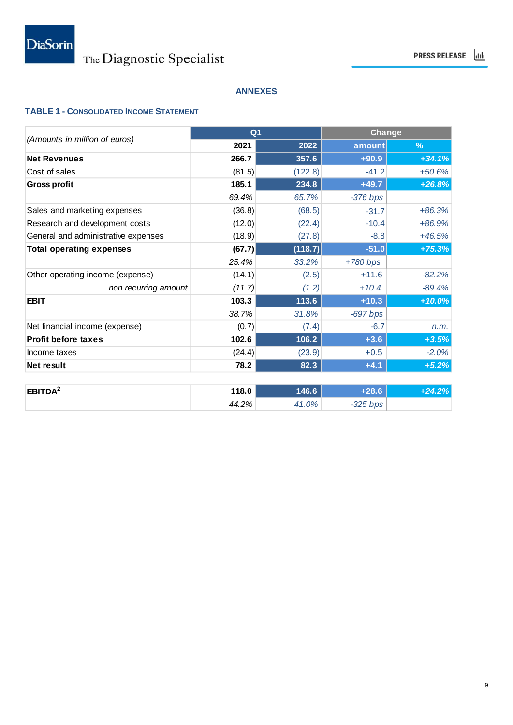### **ANNEXES**

### **TABLE 1 - CONSOLIDATED INCOME STATEMENT**

|                                     |        | Q <sub>1</sub> |            | Change   |
|-------------------------------------|--------|----------------|------------|----------|
| (Amounts in million of euros)       | 2021   | 2022           | amount     | %        |
| <b>Net Revenues</b>                 | 266.7  | 357.6          | $+90.9$    | $+34.1%$ |
| Cost of sales                       | (81.5) | (122.8)        | $-41.2$    | $+50.6%$ |
| <b>Gross profit</b>                 | 185.1  | 234.8          | $+49.7$    | $+26.8%$ |
|                                     | 69.4%  | 65.7%          | $-376$ bps |          |
| Sales and marketing expenses        | (36.8) | (68.5)         | $-31.7$    | $+86.3%$ |
| Research and development costs      | (12.0) | (22.4)         | $-10.4$    | $+86.9%$ |
| General and administrative expenses | (18.9) | (27.8)         | $-8.8$     | $+46.5%$ |
| <b>Total operating expenses</b>     | (67.7) | (118.7)        | $-51.0$    | $+75.3%$ |
|                                     | 25.4%  | 33.2%          | $+780$ bps |          |
| Other operating income (expense)    | (14.1) | (2.5)          | $+11.6$    | $-82.2%$ |
| non recurring amount                | (11.7) | (1.2)          | $+10.4$    | $-89.4%$ |
| <b>EBIT</b>                         | 103.3  | 113.6          | $+10.3$    | $+10.0%$ |
|                                     | 38.7%  | 31.8%          | $-697$ bps |          |
| Net financial income (expense)      | (0.7)  | (7.4)          | $-6.7$     | n.m.     |
| <b>Profit before taxes</b>          | 102.6  | 106.2          | $+3.6$     | $+3.5%$  |
| Income taxes                        | (24.4) | (23.9)         | $+0.5$     | $-2.0%$  |
| Net result                          | 78.2   | 82.3           | $+4.1$     | $+5.2%$  |
|                                     |        |                |            |          |
| EBITDA <sup>2</sup>                 | 118.0  | 146.6          | $+28.6$    | $+24.2%$ |
|                                     | 44.2%  | 41.0%          | $-325$ bps |          |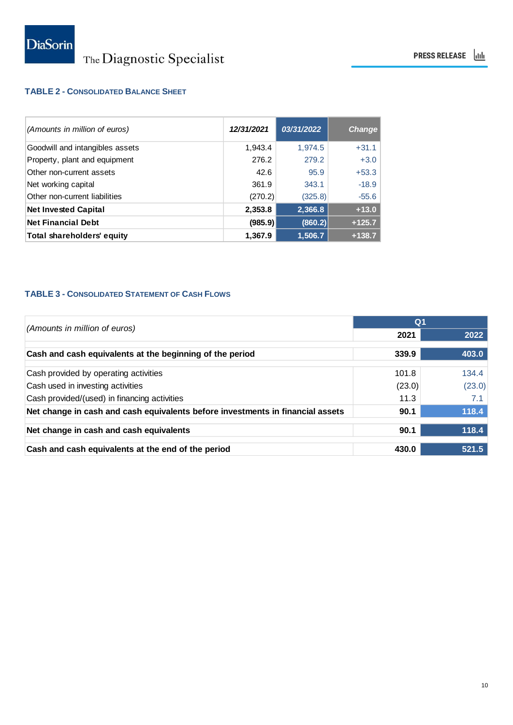### **TABLE 2 - CONSOLIDATED BALANCE SHEET**

| (Amounts in million of euros)   | 12/31/2021 | 03/31/2022 | <b>Change</b> |
|---------------------------------|------------|------------|---------------|
| Goodwill and intangibles assets | 1.943.4    | 1,974.5    | $+31.1$       |
| Property, plant and equipment   | 276.2      | 279.2      | $+3.0$        |
| Other non-current assets        | 42.6       | 95.9       | $+53.3$       |
| Net working capital             | 361.9      | 343.1      | $-18.9$       |
| Other non-current liabilities   | (270.2)    | (325.8)    | $-55.6$       |
| <b>Net Invested Capital</b>     | 2,353.8    | 2,366.8    | $+13.0$       |
| <b>Net Financial Debt</b>       | (985.9)    | (860.2)    | $+125.7$      |
| Total shareholders' equity      | 1,367.9    | 1,506.7    | $+138.7$      |

### **TABLE 3 - CONSOLIDATED STATEMENT OF CASH FLOWS**

|                                                                                |        | Q <sub>1</sub> |  |  |
|--------------------------------------------------------------------------------|--------|----------------|--|--|
| (Amounts in million of euros)                                                  | 2021   | 2022           |  |  |
| Cash and cash equivalents at the beginning of the period                       | 339.9  | 403.0          |  |  |
| Cash provided by operating activities                                          | 101.8  | 134.4          |  |  |
| Cash used in investing activities                                              | (23.0) | (23.0)         |  |  |
| Cash provided/(used) in financing activities                                   | 11.3   | 7.1            |  |  |
| Net change in cash and cash equivalents before investments in financial assets | 90.1   | 118.4          |  |  |
| Net change in cash and cash equivalents                                        | 90.1   | 118.4          |  |  |
| Cash and cash equivalents at the end of the period                             | 430.0  | 521.5          |  |  |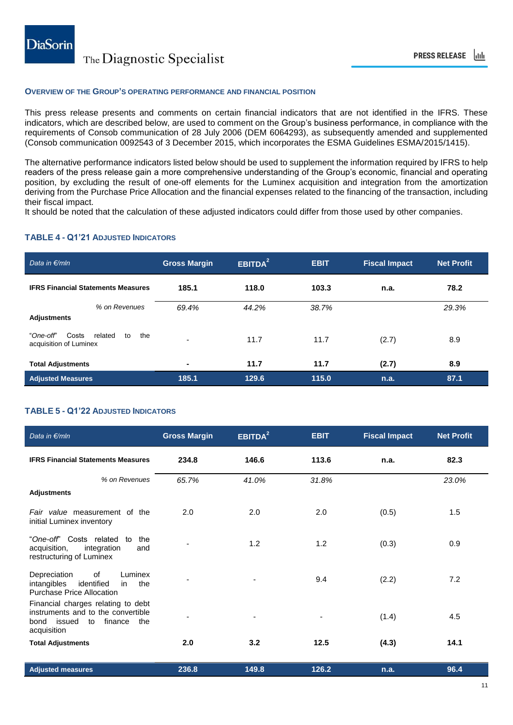### **OVERVIEW OF THE GROUP'S OPERATING PERFORMANCE AND FINANCIAL POSITION**

This press release presents and comments on certain financial indicators that are not identified in the IFRS. These indicators, which are described below, are used to comment on the Group's business performance, in compliance with the requirements of Consob communication of 28 July 2006 (DEM 6064293), as subsequently amended and supplemented (Consob communication 0092543 of 3 December 2015, which incorporates the ESMA Guidelines ESMA/2015/1415).

The alternative performance indicators listed below should be used to supplement the information required by IFRS to help readers of the press release gain a more comprehensive understanding of the Group's economic, financial and operating position, by excluding the result of one-off elements for the Luminex acquisition and integration from the amortization deriving from the Purchase Price Allocation and the financial expenses related to the financing of the transaction, including their fiscal impact.

It should be noted that the calculation of these adjusted indicators could differ from those used by other companies.

### **TABLE 4 - Q1'21 ADJUSTED INDICATORS**

| Data in $\not\in$ /mln                                               | <b>Gross Margin</b> | EBITDA <sup>2</sup> | <b>EBIT</b> | <b>Fiscal Impact</b> | <b>Net Profit</b> |
|----------------------------------------------------------------------|---------------------|---------------------|-------------|----------------------|-------------------|
| <b>IFRS Financial Statements Measures</b>                            | 185.1               | 118.0               | 103.3       | n.a.                 | 78.2              |
| % on Revenues<br><b>Adjustments</b>                                  | 69.4%               | 44.2%               | 38.7%       |                      | 29.3%             |
| the<br>"One-off"<br>Costs<br>related<br>to<br>acquisition of Luminex |                     | 11.7                | 11.7        | (2.7)                | 8.9               |
| <b>Total Adjustments</b>                                             | $\blacksquare$      | 11.7                | 11.7        | (2.7)                | 8.9               |
| <b>Adjusted Measures</b>                                             | 185.1               | 129.6               | 115.0       | n.a.                 | 87.1              |

### **TABLE 5 - Q1'22 ADJUSTED INDICATORS**

| Data in €/mln                                                                                                                     | <b>Gross Margin</b> | EBITDA <sup>2</sup> | <b>EBIT</b> | <b>Fiscal Impact</b> | <b>Net Profit</b> |
|-----------------------------------------------------------------------------------------------------------------------------------|---------------------|---------------------|-------------|----------------------|-------------------|
| <b>IFRS Financial Statements Measures</b>                                                                                         | 234.8               | 146.6               | 113.6       | n.a.                 | 82.3              |
| % on Revenues                                                                                                                     | 65.7%               | 41.0%               | 31.8%       |                      | 23.0%             |
| <b>Adjustments</b>                                                                                                                |                     |                     |             |                      |                   |
| Fair value measurement of the<br>initial Luminex inventory                                                                        | 2.0                 | 2.0                 | 2.0         | (0.5)                | 1.5               |
| "One-off" Costs related to<br>the<br>acquisition,<br>integration<br>and<br>restructuring of Luminex                               |                     | 1.2                 | 1.2         | (0.3)                | 0.9               |
| of<br>Depreciation<br>Luminex<br>intangibles<br>identified<br>the<br>in<br><b>Purchase Price Allocation</b>                       |                     |                     | 9.4         | (2.2)                | 7.2               |
| Financial charges relating to debt<br>instruments and to the convertible<br>issued<br>finance<br>the<br>bond<br>to<br>acquisition |                     |                     |             | (1.4)                | 4.5               |
| <b>Total Adjustments</b>                                                                                                          | 2.0                 | 3.2                 | 12.5        | (4.3)                | 14.1              |
| <b>Adjusted measures</b>                                                                                                          | 236.8               | 149.8               | 126.2       | n.a.                 | 96.4              |